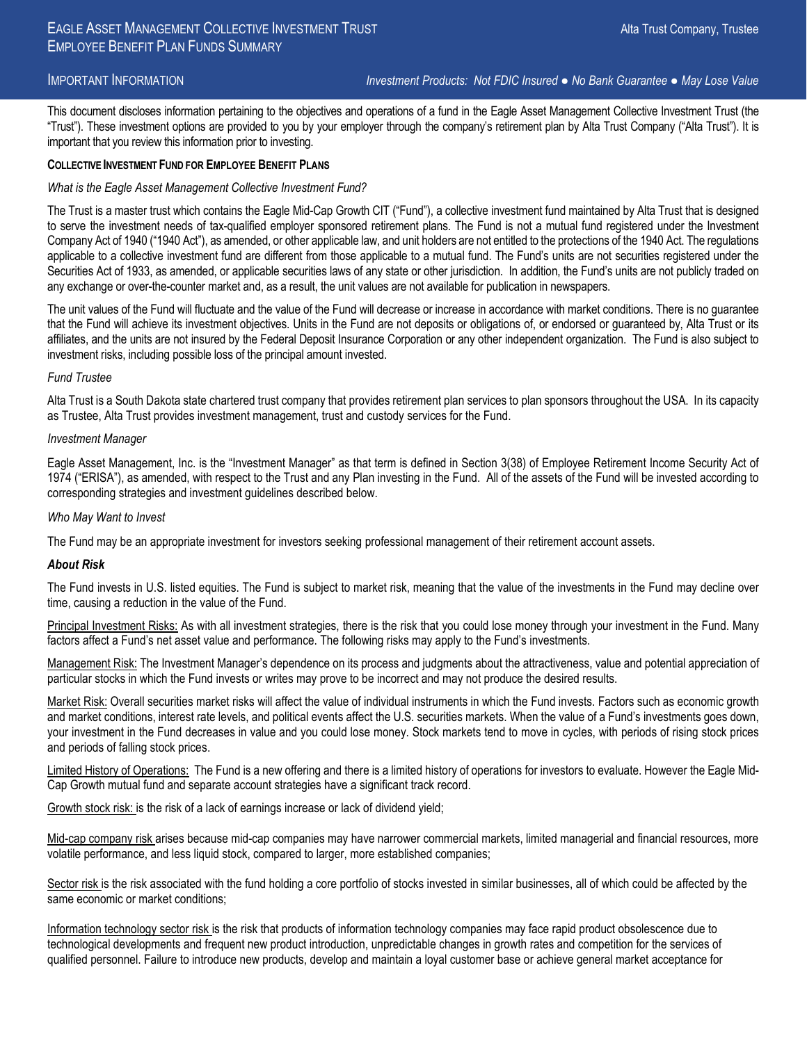IMPORTANT INFORMATION *Investment Products: Not FDIC Insured ● No Bank Guarantee ● May Lose Value*

This document discloses information pertaining to the objectives and operations of a fund in the Eagle Asset Management Collective Investment Trust (the "Trust"). These investment options are provided to you by your employer through the company's retirement plan by Alta Trust Company ("Alta Trust"). It is important that you review this information prior to investing.

## **COLLECTIVE INVESTMENT FUND FOR EMPLOYEE BENEFIT PLANS**

## *What is the Eagle Asset Management Collective Investment Fund?*

The Trust is a master trust which contains the Eagle Mid-Cap Growth CIT ("Fund"), a collective investment fund maintained by Alta Trust that is designed to serve the investment needs of tax-qualified employer sponsored retirement plans. The Fund is not a mutual fund registered under the Investment Company Act of 1940 ("1940 Act"), as amended, or other applicable law, and unit holders are not entitled to the protections of the 1940 Act. The regulations applicable to a collective investment fund are different from those applicable to a mutual fund. The Fund's units are not securities registered under the Securities Act of 1933, as amended, or applicable securities laws of any state or other jurisdiction. In addition, the Fund's units are not publicly traded on any exchange or over-the-counter market and, as a result, the unit values are not available for publication in newspapers.

The unit values of the Fund will fluctuate and the value of the Fund will decrease or increase in accordance with market conditions. There is no guarantee that the Fund will achieve its investment objectives. Units in the Fund are not deposits or obligations of, or endorsed or guaranteed by, Alta Trust or its affiliates, and the units are not insured by the Federal Deposit Insurance Corporation or any other independent organization. The Fund is also subject to investment risks, including possible loss of the principal amount invested.

### *Fund Trustee*

Alta Trust is a South Dakota state chartered trust company that provides retirement plan services to plan sponsors throughout the USA. In its capacity as Trustee, Alta Trust provides investment management, trust and custody services for the Fund.

#### *Investment Manager*

Eagle Asset Management, Inc. is the "Investment Manager" as that term is defined in Section 3(38) of Employee Retirement Income Security Act of 1974 ("ERISA"), as amended, with respect to the Trust and any Plan investing in the Fund. All of the assets of the Fund will be invested according to corresponding strategies and investment guidelines described below.

## *Who May Want to Invest*

The Fund may be an appropriate investment for investors seeking professional management of their retirement account assets.

#### *About Risk*

The Fund invests in U.S. listed equities. The Fund is subject to market risk, meaning that the value of the investments in the Fund may decline over time, causing a reduction in the value of the Fund.

Principal Investment Risks: As with all investment strategies, there is the risk that you could lose money through your investment in the Fund. Many factors affect a Fund's net asset value and performance. The following risks may apply to the Fund's investments.

Management Risk: The Investment Manager's dependence on its process and judgments about the attractiveness, value and potential appreciation of particular stocks in which the Fund invests or writes may prove to be incorrect and may not produce the desired results.

Market Risk: Overall securities market risks will affect the value of individual instruments in which the Fund invests. Factors such as economic growth and market conditions, interest rate levels, and political events affect the U.S. securities markets. When the value of a Fund's investments goes down, your investment in the Fund decreases in value and you could lose money. Stock markets tend to move in cycles, with periods of rising stock prices and periods of falling stock prices.

Limited History of Operations: The Fund is a new offering and there is a limited history of operations for investors to evaluate. However the Eagle Mid-Cap Growth mutual fund and separate account strategies have a significant track record.

Growth stock risk: is the risk of a lack of earnings increase or lack of dividend yield;

Mid-cap company risk arises because mid-cap companies may have narrower commercial markets, limited managerial and financial resources, more volatile performance, and less liquid stock, compared to larger, more established companies;

Sector risk is the risk associated with the fund holding a core portfolio of stocks invested in similar businesses, all of which could be affected by the same economic or market conditions;

Information technology sector risk is the risk that products of information technology companies may face rapid product obsolescence due to technological developments and frequent new product introduction, unpredictable changes in growth rates and competition for the services of qualified personnel. Failure to introduce new products, develop and maintain a loyal customer base or achieve general market acceptance for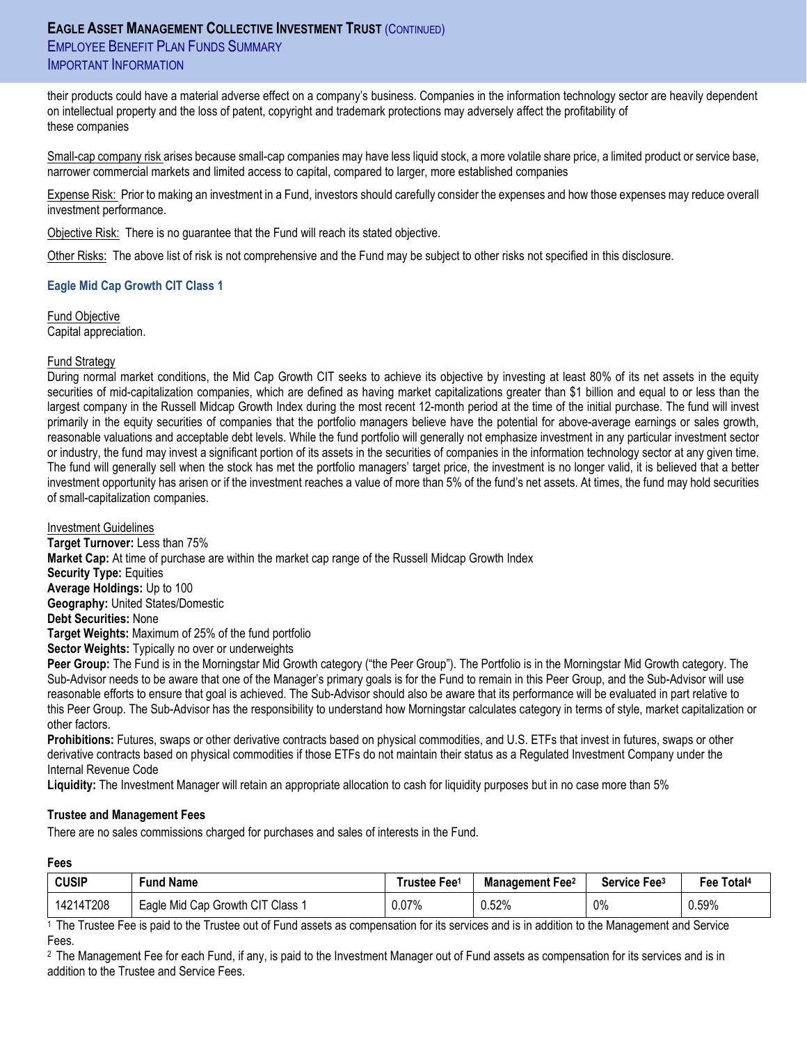# **EAGLE ASSET MANAGEMENT COLLECTIVE INVESTMENT TRUST** (CONTINUED) **EMPLOYEE BENEFIT PLAN FUNDS SUMMARY** IMPORTANT INFORMATION

their products could have a material adverse effect on a company's business. Companies in the information technology sector are heavily dependent on intellectual property and the loss of patent, copyright and trademark protections may adversely affect the profitability of these companies

Small-cap company risk arises because small-cap companies may have less liquid stock, a more volatile share price, a limited product or service base, narrower commercial markets and limited access to capital, compared to larger, more established companies

Expense Risk: Prior to making an investment in a Fund, investors should carefully consider the expenses and how those expenses may reduce overall investment performance.

Objective Risk: There is no guarantee that the Fund will reach its stated objective.

Other Risks: The above list of risk is not comprehensive and the Fund may be subject to other risks not specified in this disclosure.

## **Eagle Mid Cap Growth CIT Class 1**

Fund Objective Capital appreciation.

## Fund Strategy

During normal market conditions, the Mid Cap Growth CIT seeks to achieve its objective by investing at least 80% of its net assets in the equity securities of mid-capitalization companies, which are defined as having market capitalizations greater than \$1 billion and equal to or less than the largest company in the Russell Midcap Growth Index during the most recent 12-month period at the time of the initial purchase. The fund will invest primarily in the equity securities of companies that the portfolio managers believe have the potential for above-average earnings or sales growth, reasonable valuations and acceptable debt levels. While the fund portfolio will generally not emphasize investment in any particular investment sector or industry, the fund may invest a significant portion of its assets in the securities of companies in the information technology sector at any given time. The fund will generally sell when the stock has met the portfolio managers' target price, the investment is no longer valid, it is believed that a better investment opportunity has arisen or if the investment reaches a value of more than 5% of the fund's net assets. At times, the fund may hold securities of small-capitalization companies.

Investment Guidelines

**Target Turnover:** Less than 75% **Market Cap:** At time of purchase are within the market cap range of the Russell Midcap Growth Index **Security Type:** Equities **Average Holdings:** Up to 100 **Geography:** United States/Domestic **Debt Securities:** None **Target Weights:** Maximum of 25% of the fund portfolio **Sector Weights:** Typically no over or underweights **Peer Group:** The Fund is in the Morningstar Mid Growth category ("the Peer Group"). The Portfolio is in the Morningstar Mid Growth category. The

Sub-Advisor needs to be aware that one of the Manager's primary goals is for the Fund to remain in this Peer Group, and the Sub-Advisor will use reasonable efforts to ensure that goal is achieved. The Sub-Advisor should also be aware that its performance will be evaluated in part relative to this Peer Group. The Sub-Advisor has the responsibility to understand how Morningstar calculates category in terms of style, market capitalization or other factors.

**Prohibitions:** Futures, swaps or other derivative contracts based on physical commodities, and U.S. ETFs that invest in futures, swaps or other derivative contracts based on physical commodities if those ETFs do not maintain their status as a Regulated Investment Company under the Internal Revenue Code

**Liquidity:** The Investment Manager will retain an appropriate allocation to cash for liquidity purposes but in no case more than 5%

## **Trustee and Management Fees**

There are no sales commissions charged for purchases and sales of interests in the Fund.

## **Fees**

| <b>CUSIP</b> | Fund Name                        | Trustee Fee <sup>1</sup> | <b>Management Fee</b> <sup>2</sup> | Service Fee <sup>3</sup> | Fee Total <sup>4</sup> |
|--------------|----------------------------------|--------------------------|------------------------------------|--------------------------|------------------------|
| 14214T208    | Eagle Mid Cap Growth CIT Class 1 | 0.07%                    | 0.52%                              | 0%                       | 0.59%                  |

1 The Trustee Fee is paid to the Trustee out of Fund assets as compensation for its services and is in addition to the Management and Service Fees.

<sup>2</sup> The Management Fee for each Fund, if any, is paid to the Investment Manager out of Fund assets as compensation for its services and is in addition to the Trustee and Service Fees.